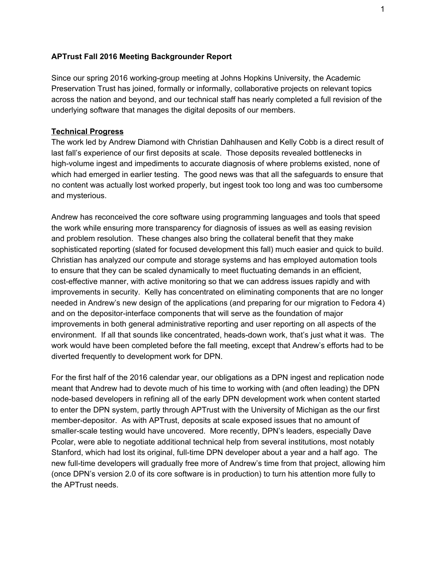## **APTrust Fall 2016 Meeting Backgrounder Report**

Since our spring 2016 working-group meeting at Johns Hopkins University, the Academic Preservation Trust has joined, formally or informally, collaborative projects on relevant topics across the nation and beyond, and our technical staff has nearly completed a full revision of the underlying software that manages the digital deposits of our members.

## **Technical Progress**

The work led by Andrew Diamond with Christian Dahlhausen and Kelly Cobb is a direct result of last fall's experience of our first deposits at scale. Those deposits revealed bottlenecks in high-volume ingest and impediments to accurate diagnosis of where problems existed, none of which had emerged in earlier testing. The good news was that all the safeguards to ensure that no content was actually lost worked properly, but ingest took too long and was too cumbersome and mysterious.

Andrew has reconceived the core software using programming languages and tools that speed the work while ensuring more transparency for diagnosis of issues as well as easing revision and problem resolution. These changes also bring the collateral benefit that they make sophisticated reporting (slated for focused development this fall) much easier and quick to build. Christian has analyzed our compute and storage systems and has employed automation tools to ensure that they can be scaled dynamically to meet fluctuating demands in an efficient, cost-effective manner, with active monitoring so that we can address issues rapidly and with improvements in security. Kelly has concentrated on eliminating components that are no longer needed in Andrew's new design of the applications (and preparing for our migration to Fedora 4) and on the depositor-interface components that will serve as the foundation of major improvements in both general administrative reporting and user reporting on all aspects of the environment. If all that sounds like concentrated, heads-down work, that's just what it was. The work would have been completed before the fall meeting, except that Andrew's efforts had to be diverted frequently to development work for DPN.

For the first half of the 2016 calendar year, our obligations as a DPN ingest and replication node meant that Andrew had to devote much of his time to working with (and often leading) the DPN node-based developers in refining all of the early DPN development work when content started to enter the DPN system, partly through APTrust with the University of Michigan as the our first member-depositor. As with APTrust, deposits at scale exposed issues that no amount of smaller-scale testing would have uncovered. More recently, DPN's leaders, especially Dave Pcolar, were able to negotiate additional technical help from several institutions, most notably Stanford, which had lost its original, full-time DPN developer about a year and a half ago. The new full-time developers will gradually free more of Andrew's time from that project, allowing him (once DPN's version 2.0 of its core software is in production) to turn his attention more fully to the APTrust needs.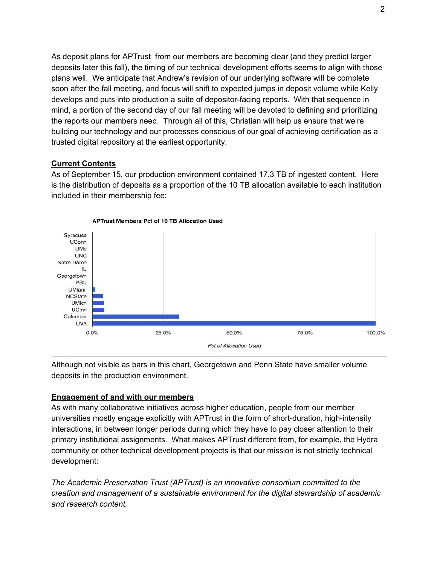As deposit plans for APTrust from our members are becoming clear (and they predict larger deposits later this fall), the timing of our technical development efforts seems to align with those plans well. We anticipate that Andrew's revision of our underlying software will be complete soon after the fall meeting, and focus will shift to expected jumps in deposit volume while Kelly develops and puts into production a suite of depositor-facing reports. With that sequence in mind, a portion of the second day of our fall meeting will be devoted to defining and prioritizing the reports our members need. Through all of this, Christian will help us ensure that we're building our technology and our processes conscious of our goal of achieving certification as a trusted digital repository at the earliest opportunity.

## **Current Contents**

As of September 15, our production environment contained 17.3 TB of ingested content. Here is the distribution of deposits as a proportion of the 10 TB allocation available to each institution included in their membership fee:



Although not visible as bars in this chart, Georgetown and Penn State have smaller volume deposits in the production environment.

## **Engagement of and with our members**

As with many collaborative initiatives across higher education, people from our member universities mostly engage explicitly with APTrust in the form of short-duration, high-intensity interactions, in between longer periods during which they have to pay closer attention to their primary institutional assignments. What makes APTrust different from, for example, the Hydra community or other technical development projects is that our mission is not strictly technical development:

*The Academic Preservation Trust (APTrust) is an innovative consortium committed to the creation and management of a sustainable environment for the digital stewardship of academic and research content.*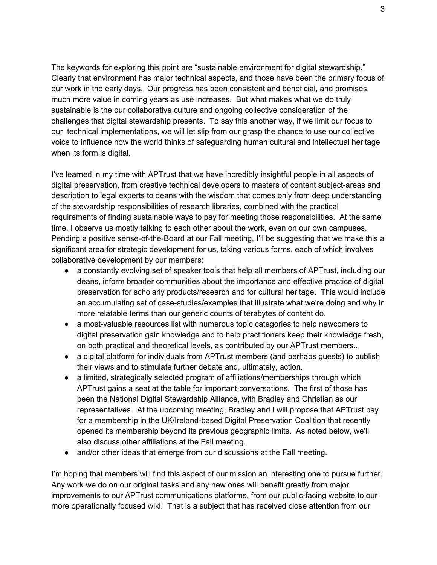The keywords for exploring this point are "sustainable environment for digital stewardship." Clearly that environment has major technical aspects, and those have been the primary focus of our work in the early days. Our progress has been consistent and beneficial, and promises much more value in coming years as use increases. But what makes what we do truly sustainable is the our collaborative culture and ongoing collective consideration of the challenges that digital stewardship presents. To say this another way, if we limit our focus to our technical implementations, we will let slip from our grasp the chance to use our collective voice to influence how the world thinks of safeguarding human cultural and intellectual heritage when its form is digital.

I've learned in my time with APTrust that we have incredibly insightful people in all aspects of digital preservation, from creative technical developers to masters of content subject-areas and description to legal experts to deans with the wisdom that comes only from deep understanding of the stewardship responsibilities of research libraries, combined with the practical requirements of finding sustainable ways to pay for meeting those responsibilities. At the same time, I observe us mostly talking to each other about the work, even on our own campuses. Pending a positive sense-of-the-Board at our Fall meeting, I'll be suggesting that we make this a significant area for strategic development for us, taking various forms, each of which involves collaborative development by our members:

- a constantly evolving set of speaker tools that help all members of APTrust, including our deans, inform broader communities about the importance and effective practice of digital preservation for scholarly products/research and for cultural heritage. This would include an accumulating set of case-studies/examples that illustrate what we're doing and why in more relatable terms than our generic counts of terabytes of content do.
- a most-valuable resources list with numerous topic categories to help newcomers to digital preservation gain knowledge and to help practitioners keep their knowledge fresh, on both practical and theoretical levels, as contributed by our APTrust members..
- a digital platform for individuals from APTrust members (and perhaps quests) to publish their views and to stimulate further debate and, ultimately, action.
- a limited, strategically selected program of affiliations/memberships through which APTrust gains a seat at the table for important conversations. The first of those has been the National Digital Stewardship Alliance, with Bradley and Christian as our representatives. At the upcoming meeting, Bradley and I will propose that APTrust pay for a membership in the UK/Ireland-based Digital Preservation Coalition that recently opened its membership beyond its previous geographic limits. As noted below, we'll also discuss other affiliations at the Fall meeting.
- and/or other ideas that emerge from our discussions at the Fall meeting.

I'm hoping that members will find this aspect of our mission an interesting one to pursue further. Any work we do on our original tasks and any new ones will benefit greatly from major improvements to our APTrust communications platforms, from our public-facing website to our more operationally focused wiki. That is a subject that has received close attention from our